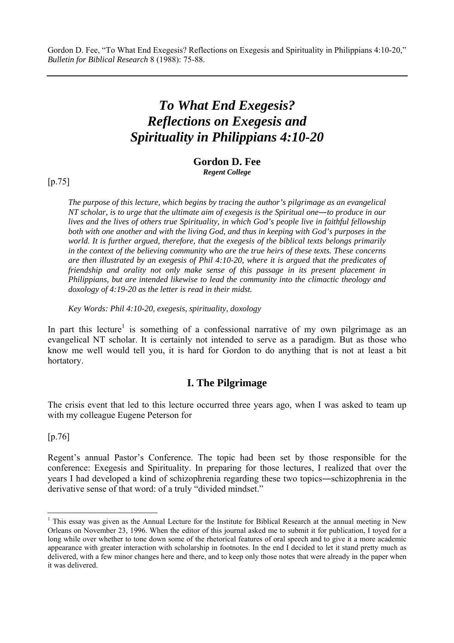# *To What End Exegesis? Reflections on Exegesis and Spirituality in Philippians 4:10-20*

#### **Gordon D. Fee** *Regent College*

[p.75]

*The purpose of this lecture, which begins by tracing the author's pilgrimage as an evangelical NT scholar, is to urge that the ultimate aim of exegesis is the Spiritual one—to produce in our lives and the lives of others true Spirituality, in which God's people live in faithful fellowship both with one another and with the living God, and thus in keeping with God's purposes in the world. It is further argued, therefore, that the exegesis of the biblical texts belongs primarily in the context of the believing community who are the true heirs of these texts. These concerns are then illustrated by an exegesis of Phil 4:10-20, where it is argued that the predicates of friendship and orality not only make sense of this passage in its present placement in Philippians, but are intended likewise to lead the community into the climactic theology and doxology of 4:19-20 as the letter is read in their midst.*

*Key Words: Phil 4:10-20, exegesis, spirituality, doxology*

In part this lecture<sup>1</sup> is something of a confessional narrative of my own pilgrimage as an evangelical NT scholar. It is certainly not intended to serve as a paradigm. But as those who know me well would tell you, it is hard for Gordon to do anything that is not at least a bit hortatory.

### **I. The Pilgrimage**

The crisis event that led to this lecture occurred three years ago, when I was asked to team up with my colleague Eugene Peterson for

[p.76]

 $\overline{a}$ 

Regent's annual Pastor's Conference. The topic had been set by those responsible for the conference: Exegesis and Spirituality. In preparing for those lectures, I realized that over the years I had developed a kind of schizophrenia regarding these two topics―schizophrenia in the derivative sense of that word: of a truly "divided mindset."

<sup>&</sup>lt;sup>1</sup> This essay was given as the Annual Lecture for the Institute for Biblical Research at the annual meeting in New Orleans on November 23, 1996. When the editor of this journal asked me to submit it for publication, I toyed for a long while over whether to tone down some of the rhetorical features of oral speech and to give it a more academic appearance with greater interaction with scholarship in footnotes. In the end I decided to let it stand pretty much as delivered, with a few minor changes here and there, and to keep only those notes that were already in the paper when it was delivered.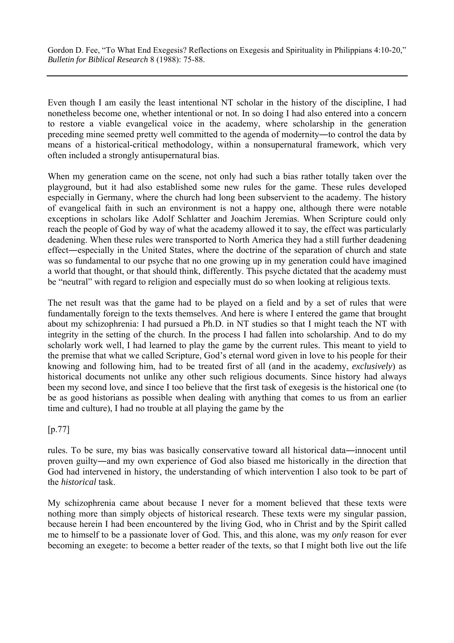Even though I am easily the least intentional NT scholar in the history of the discipline, I had nonetheless become one, whether intentional or not. In so doing I had also entered into a concern to restore a viable evangelical voice in the academy, where scholarship in the generation preceding mine seemed pretty well committed to the agenda of modernity―to control the data by means of a historical-critical methodology, within a nonsupernatural framework, which very often included a strongly antisupernatural bias.

When my generation came on the scene, not only had such a bias rather totally taken over the playground, but it had also established some new rules for the game. These rules developed especially in Germany, where the church had long been subservient to the academy. The history of evangelical faith in such an environment is not a happy one, although there were notable exceptions in scholars like Adolf Schlatter and Joachim Jeremias. When Scripture could only reach the people of God by way of what the academy allowed it to say, the effect was particularly deadening. When these rules were transported to North America they had a still further deadening effect―especially in the United States, where the doctrine of the separation of church and state was so fundamental to our psyche that no one growing up in my generation could have imagined a world that thought, or that should think, differently. This psyche dictated that the academy must be "neutral" with regard to religion and especially must do so when looking at religious texts.

The net result was that the game had to be played on a field and by a set of rules that were fundamentally foreign to the texts themselves. And here is where I entered the game that brought about my schizophrenia: I had pursued a Ph.D. in NT studies so that I might teach the NT with integrity in the setting of the church. In the process I had fallen into scholarship. And to do my scholarly work well, I had learned to play the game by the current rules. This meant to yield to the premise that what we called Scripture, God's eternal word given in love to his people for their knowing and following him, had to be treated first of all (and in the academy, *exclusively*) as historical documents not unlike any other such religious documents. Since history had always been my second love, and since I too believe that the first task of exegesis is the historical one (to be as good historians as possible when dealing with anything that comes to us from an earlier time and culture), I had no trouble at all playing the game by the

[p.77]

rules. To be sure, my bias was basically conservative toward all historical data―innocent until proven guilty―and my own experience of God also biased me historically in the direction that God had intervened in history, the understanding of which intervention I also took to be part of the *historical* task.

My schizophrenia came about because I never for a moment believed that these texts were nothing more than simply objects of historical research. These texts were my singular passion, because herein I had been encountered by the living God, who in Christ and by the Spirit called me to himself to be a passionate lover of God. This, and this alone, was my *only* reason for ever becoming an exegete: to become a better reader of the texts, so that I might both live out the life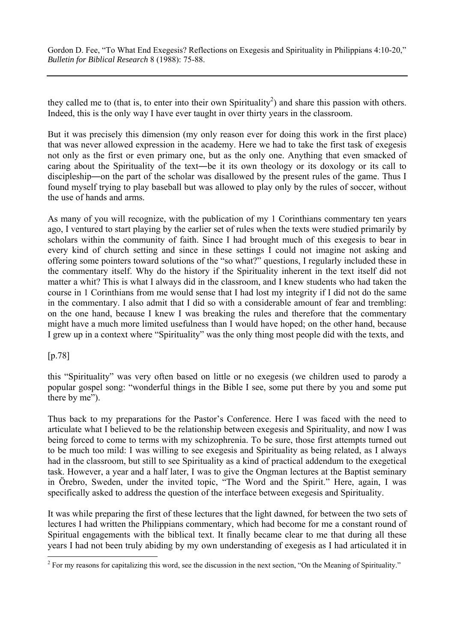they called me to (that is, to enter into their own Spirituality<sup>2</sup>) and share this passion with others. Indeed, this is the only way I have ever taught in over thirty years in the classroom.

But it was precisely this dimension (my only reason ever for doing this work in the first place) that was never allowed expression in the academy. Here we had to take the first task of exegesis not only as the first or even primary one, but as the only one. Anything that even smacked of caring about the Spirituality of the text―be it its own theology or its doxology or its call to discipleship―on the part of the scholar was disallowed by the present rules of the game. Thus I found myself trying to play baseball but was allowed to play only by the rules of soccer, without the use of hands and arms.

As many of you will recognize, with the publication of my 1 Corinthians commentary ten years ago, I ventured to start playing by the earlier set of rules when the texts were studied primarily by scholars within the community of faith. Since I had brought much of this exegesis to bear in every kind of church setting and since in these settings I could not imagine not asking and offering some pointers toward solutions of the "so what?" questions, I regularly included these in the commentary itself. Why do the history if the Spirituality inherent in the text itself did not matter a whit? This is what I always did in the classroom, and I knew students who had taken the course in 1 Corinthians from me would sense that I had lost my integrity if I did not do the same in the commentary. I also admit that I did so with a considerable amount of fear and trembling: on the one hand, because I knew I was breaking the rules and therefore that the commentary might have a much more limited usefulness than I would have hoped; on the other hand, because I grew up in a context where "Spirituality" was the only thing most people did with the texts, and

#### [p.78]

this "Spirituality" was very often based on little or no exegesis (we children used to parody a popular gospel song: "wonderful things in the Bible I see, some put there by you and some put there by me").

Thus back to my preparations for the Pastor's Conference. Here I was faced with the need to articulate what I believed to be the relationship between exegesis and Spirituality, and now I was being forced to come to terms with my schizophrenia. To be sure, those first attempts turned out to be much too mild: I was willing to see exegesis and Spirituality as being related, as I always had in the classroom, but still to see Spirituality as a kind of practical addendum to the exegetical task. However, a year and a half later, I was to give the Ongman lectures at the Baptist seminary in Örebro, Sweden, under the invited topic, "The Word and the Spirit." Here, again, I was specifically asked to address the question of the interface between exegesis and Spirituality.

It was while preparing the first of these lectures that the light dawned, for between the two sets of lectures I had written the Philippians commentary, which had become for me a constant round of Spiritual engagements with the biblical text. It finally became clear to me that during all these years I had not been truly abiding by my own understanding of exegesis as I had articulated it in

<sup>&</sup>lt;sup>2</sup> For my reasons for capitalizing this word, see the discussion in the next section, "On the Meaning of Spirituality."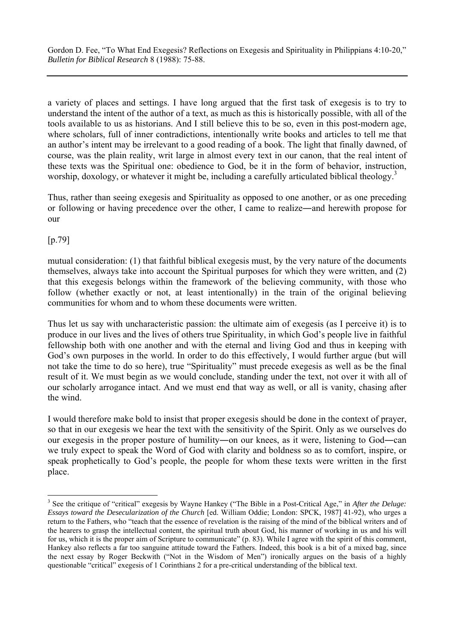a variety of places and settings. I have long argued that the first task of exegesis is to try to understand the intent of the author of a text, as much as this is historically possible, with all of the tools available to us as historians. And I still believe this to be so, even in this post-modern age, where scholars, full of inner contradictions, intentionally write books and articles to tell me that an author's intent may be irrelevant to a good reading of a book. The light that finally dawned, of course, was the plain reality, writ large in almost every text in our canon, that the real intent of these texts was the Spiritual one: obedience to God, be it in the form of behavior, instruction, worship, doxology, or whatever it might be, including a carefully articulated biblical theology.<sup>3</sup>

Thus, rather than seeing exegesis and Spirituality as opposed to one another, or as one preceding or following or having precedence over the other, I came to realize―and herewith propose for our

[p.79]

 $\overline{a}$ 

mutual consideration: (1) that faithful biblical exegesis must, by the very nature of the documents themselves, always take into account the Spiritual purposes for which they were written, and (2) that this exegesis belongs within the framework of the believing community, with those who follow (whether exactly or not, at least intentionally) in the train of the original believing communities for whom and to whom these documents were written.

Thus let us say with uncharacteristic passion: the ultimate aim of exegesis (as I perceive it) is to produce in our lives and the lives of others true Spirituality, in which God's people live in faithful fellowship both with one another and with the eternal and living God and thus in keeping with God's own purposes in the world. In order to do this effectively, I would further argue (but will not take the time to do so here), true "Spirituality" must precede exegesis as well as be the final result of it. We must begin as we would conclude, standing under the text, not over it with all of our scholarly arrogance intact. And we must end that way as well, or all is vanity, chasing after the wind.

I would therefore make bold to insist that proper exegesis should be done in the context of prayer, so that in our exegesis we hear the text with the sensitivity of the Spirit. Only as we ourselves do our exegesis in the proper posture of humility―on our knees, as it were, listening to God―can we truly expect to speak the Word of God with clarity and boldness so as to comfort, inspire, or speak prophetically to God's people, the people for whom these texts were written in the first place.

<sup>&</sup>lt;sup>3</sup> See the critique of "critical" exegesis by Wayne Hankey ("The Bible in a Post-Critical Age," in *After the Deluge*: *Essays toward the Desecularization of the Church* [ed. William Oddie; London: SPCK, 1987] 41-92), who urges a return to the Fathers, who "teach that the essence of revelation is the raising of the mind of the biblical writers and of the hearers to grasp the intellectual content, the spiritual truth about God, his manner of working in us and his will for us, which it is the proper aim of Scripture to communicate" (p. 83). While I agree with the spirit of this comment, Hankey also reflects a far too sanguine attitude toward the Fathers. Indeed, this book is a bit of a mixed bag, since the next essay by Roger Beckwith ("Not in the Wisdom of Men") ironically argues on the basis of a highly questionable "critical" exegesis of 1 Corinthians 2 for a pre-critical understanding of the biblical text.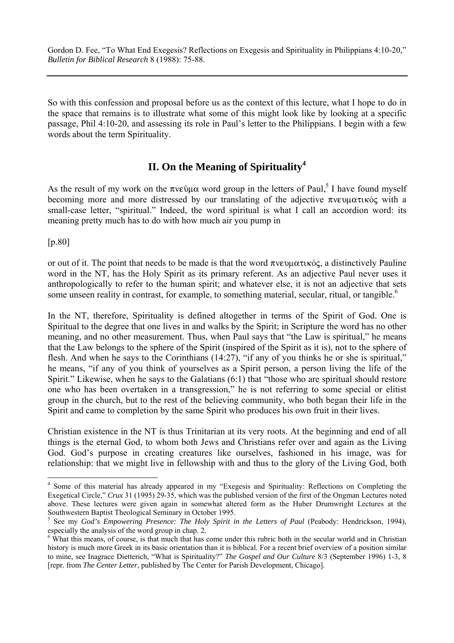So with this confession and proposal before us as the context of this lecture, what I hope to do in the space that remains is to illustrate what some of this might look like by looking at a specific passage, Phil 4:10-20, and assessing its role in Paul's letter to the Philippians. I begin with a few words about the term Spirituality.

# **II. On the Meaning of Spirituality<sup>4</sup>**

As the result of my work on the  $\pi v \in \partial \mu \alpha$  word group in the letters of Paul,<sup>5</sup> I have found myself becoming more and more distressed by our translating of the adjective  $\pi$  vertical with a small-case letter, "spiritual." Indeed, the word spiritual is what I call an accordion word: its meaning pretty much has to do with how much air you pump in

[p.80]

 $\overline{a}$ 

or out of it. The point that needs to be made is that the word  $\pi$  vertical  $\alpha$ , a distinctively Pauline word in the NT, has the Holy Spirit as its primary referent. As an adjective Paul never uses it anthropologically to refer to the human spirit; and whatever else, it is not an adjective that sets some unseen reality in contrast, for example, to something material, secular, ritual, or tangible.<sup>6</sup>

In the NT, therefore, Spirituality is defined altogether in terms of the Spirit of God. One is Spiritual to the degree that one lives in and walks by the Spirit; in Scripture the word has no other meaning, and no other measurement. Thus, when Paul says that "the Law is spiritual," he means that the Law belongs to the sphere of the Spirit (inspired of the Spirit as it is), not to the sphere of flesh. And when he says to the Corinthians (14:27), "if any of you thinks he or she is spiritual," he means, "if any of you think of yourselves as a Spirit person, a person living the life of the Spirit." Likewise, when he says to the Galatians (6:1) that "those who are spiritual should restore one who has been overtaken in a transgression," he is not referring to some special or elitist group in the church, but to the rest of the believing community, who both began their life in the Spirit and came to completion by the same Spirit who produces his own fruit in their lives.

Christian existence in the NT is thus Trinitarian at its very roots. At the beginning and end of all things is the eternal God, to whom both Jews and Christians refer over and again as the Living God. God's purpose in creating creatures like ourselves, fashioned in his image, was for relationship: that we might live in fellowship with and thus to the glory of the Living God, both

<sup>&</sup>lt;sup>4</sup> Some of this material has already appeared in my "Exegesis and Spirituality: Reflections on Completing the Exegetical Circle," *Crux* 31 (1995) 29-35, which was the published version of the first of the Ongman Lectures noted above. These lectures were given again in somewhat altered form as the Huber Drumwright Lectures at the Southwestern Baptist Theological Seminary in October 1995.

<sup>&</sup>lt;sup>5</sup> See my *God's Empowering Presence: The Holy Spirit in the Letters of Paul (Peabody: Hendrickson, 1994),* especially the analysis of the word group in chap. 2.

 $6$  What this means, of course, is that much that has come under this rubric both in the secular world and in Christian history is much more Greek in its basic orientation than it is biblical. For a recent brief overview of a position similar to mine, see Inagrace Dietterich, "What is Spirituality?" *The Gospel and Our Culture* 8/3 (September 1996) 1-3, 8 [repr. from *The Center Letter*, published by The Center for Parish Development, Chicago].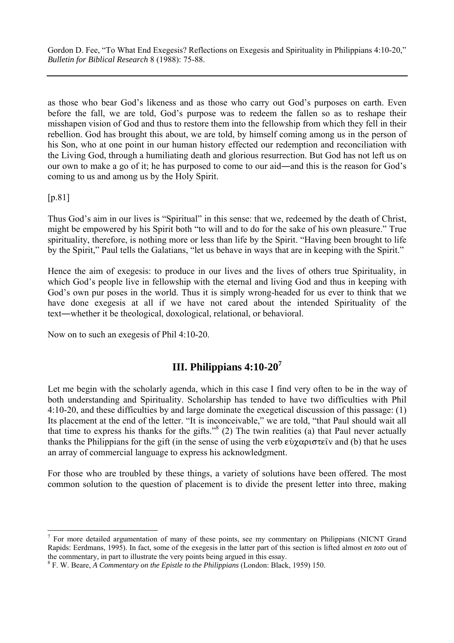as those who bear God's likeness and as those who carry out God's purposes on earth. Even before the fall, we are told, God's purpose was to redeem the fallen so as to reshape their misshapen vision of God and thus to restore them into the fellowship from which they fell in their rebellion. God has brought this about, we are told, by himself coming among us in the person of his Son, who at one point in our human history effected our redemption and reconciliation with the Living God, through a humiliating death and glorious resurrection. But God has not left us on our own to make a go of it; he has purposed to come to our aid―and this is the reason for God's coming to us and among us by the Holy Spirit.

[p.81]

 $\overline{a}$ 

Thus God's aim in our lives is "Spiritual" in this sense: that we, redeemed by the death of Christ, might be empowered by his Spirit both "to will and to do for the sake of his own pleasure." True spirituality, therefore, is nothing more or less than life by the Spirit. "Having been brought to life by the Spirit," Paul tells the Galatians, "let us behave in ways that are in keeping with the Spirit."

Hence the aim of exegesis: to produce in our lives and the lives of others true Spirituality, in which God's people live in fellowship with the eternal and living God and thus in keeping with God's own pur poses in the world. Thus it is simply wrong-headed for us ever to think that we have done exegesis at all if we have not cared about the intended Spirituality of the text―whether it be theological, doxological, relational, or behavioral.

Now on to such an exegesis of Phil 4:10-20.

# **III. Philippians 4:10-207**

Let me begin with the scholarly agenda, which in this case I find very often to be in the way of both understanding and Spirituality. Scholarship has tended to have two difficulties with Phil 4:10-20, and these difficulties by and large dominate the exegetical discussion of this passage: (1) Its placement at the end of the letter. "It is inconceivable," we are told, "that Paul should wait all that time to express his thanks for the gifts." $8$  (2) The twin realities (a) that Paul never actually thanks the Philippians for the gift (in the sense of using the verb  $\epsilon \dot{\alpha} \times \alpha \rho \alpha \sigma \epsilon \epsilon \hat{\alpha} \times \alpha$ ) that he uses an array of commercial language to express his acknowledgment.

For those who are troubled by these things, a variety of solutions have been offered. The most common solution to the question of placement is to divide the present letter into three, making

 $<sup>7</sup>$  For more detailed argumentation of many of these points, see my commentary on Philippians (NICNT Grand</sup> Rapids: Eerdmans, 1995). In fact, some of the exegesis in the latter part of this section is lifted almost *en toto* out of the commentary, in part to illustrate the very points being argued in this essay.

<sup>8</sup> F. W. Beare, *A Commentary on the Epistle to the Philippians* (London: Black, 1959) 150.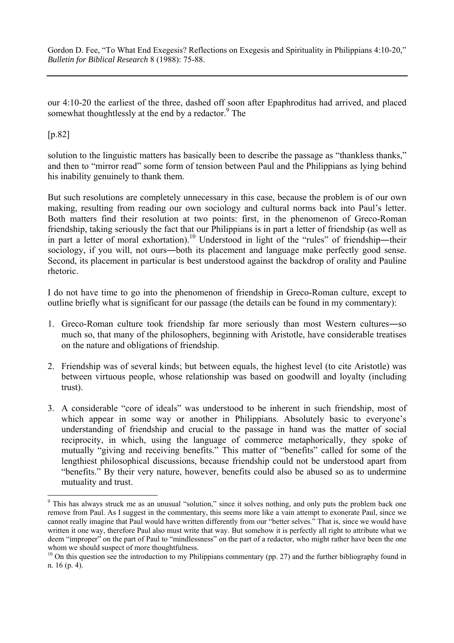our 4:10-20 the earliest of the three, dashed off soon after Epaphroditus had arrived, and placed somewhat thoughtlessly at the end by a redactor.<sup>9</sup> The

[p.82]

 $\overline{a}$ 

solution to the linguistic matters has basically been to describe the passage as "thankless thanks," and then to "mirror read" some form of tension between Paul and the Philippians as lying behind his inability genuinely to thank them.

But such resolutions are completely unnecessary in this case, because the problem is of our own making, resulting from reading our own sociology and cultural norms back into Paul's letter. Both matters find their resolution at two points: first, in the phenomenon of Greco-Roman friendship, taking seriously the fact that our Philippians is in part a letter of friendship (as well as in part a letter of moral exhortation).<sup>10</sup> Understood in light of the "rules" of friendship—their sociology, if you will, not ours—both its placement and language make perfectly good sense. Second, its placement in particular is best understood against the backdrop of orality and Pauline rhetoric.

I do not have time to go into the phenomenon of friendship in Greco-Roman culture, except to outline briefly what is significant for our passage (the details can be found in my commentary):

- 1. Greco-Roman culture took friendship far more seriously than most Western cultures―so much so, that many of the philosophers, beginning with Aristotle, have considerable treatises on the nature and obligations of friendship.
- 2. Friendship was of several kinds; but between equals, the highest level (to cite Aristotle) was between virtuous people, whose relationship was based on goodwill and loyalty (including trust).
- 3. A considerable "core of ideals" was understood to be inherent in such friendship, most of which appear in some way or another in Philippians. Absolutely basic to everyone's understanding of friendship and crucial to the passage in hand was the matter of social reciprocity, in which, using the language of commerce metaphorically, they spoke of mutually "giving and receiving benefits." This matter of "benefits" called for some of the lengthiest philosophical discussions, because friendship could not be understood apart from "benefits." By their very nature, however, benefits could also be abused so as to undermine mutuality and trust.

<sup>&</sup>lt;sup>9</sup> This has always struck me as an unusual "solution," since it solves nothing, and only puts the problem back one remove from Paul. As I suggest in the commentary, this seems more like a vain attempt to exonerate Paul, since we cannot really imagine that Paul would have written differently from our "better selves." That is, since we would have written it one way, therefore Paul also must write that way. But somehow it is perfectly all right to attribute what we deem "improper" on the part of Paul to "mindlessness" on the part of a redactor, who might rather have been the one whom we should suspect of more thoughtfulness.

<sup>&</sup>lt;sup>10</sup> On this question see the introduction to my Philippians commentary (pp. 27) and the further bibliography found in n. 16 (p. 4).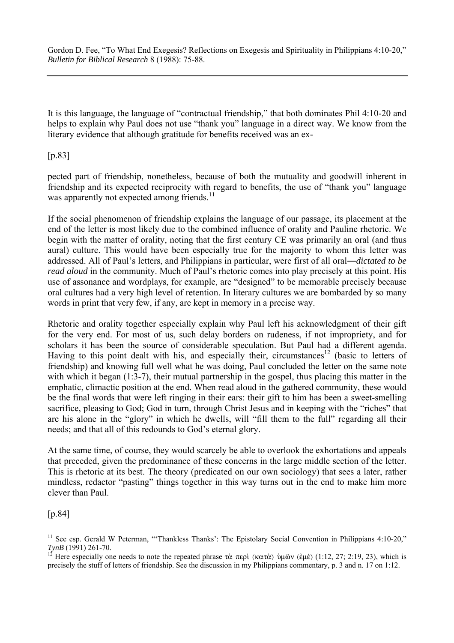It is this language, the language of "contractual friendship," that both dominates Phil 4:10-20 and helps to explain why Paul does not use "thank you" language in a direct way. We know from the literary evidence that although gratitude for benefits received was an ex-

#### [p.83]

pected part of friendship, nonetheless, because of both the mutuality and goodwill inherent in friendship and its expected reciprocity with regard to benefits, the use of "thank you" language was apparently not expected among friends.<sup>11</sup>

If the social phenomenon of friendship explains the language of our passage, its placement at the end of the letter is most likely due to the combined influence of orality and Pauline rhetoric. We begin with the matter of orality, noting that the first century CE was primarily an oral (and thus aural) culture. This would have been especially true for the majority to whom this letter was addressed. All of Paul's letters, and Philippians in particular, were first of all oral―*dictated to be read aloud* in the community. Much of Paul's rhetoric comes into play precisely at this point. His use of assonance and wordplays, for example, are "designed" to be memorable precisely because oral cultures had a very high level of retention. In literary cultures we are bombarded by so many words in print that very few, if any, are kept in memory in a precise way.

Rhetoric and orality together especially explain why Paul left his acknowledgment of their gift for the very end. For most of us, such delay borders on rudeness, if not impropriety, and for scholars it has been the source of considerable speculation. But Paul had a different agenda. Having to this point dealt with his, and especially their, circumstances<sup>12</sup> (basic to letters of friendship) and knowing full well what he was doing, Paul concluded the letter on the same note with which it began (1:3-7), their mutual partnership in the gospel, thus placing this matter in the emphatic, climactic position at the end. When read aloud in the gathered community, these would be the final words that were left ringing in their ears: their gift to him has been a sweet-smelling sacrifice, pleasing to God; God in turn, through Christ Jesus and in keeping with the "riches" that are his alone in the "glory" in which he dwells, will "fill them to the full" regarding all their needs; and that all of this redounds to God's eternal glory.

At the same time, of course, they would scarcely be able to overlook the exhortations and appeals that preceded, given the predominance of these concerns in the large middle section of the letter. This is rhetoric at its best. The theory (predicated on our own sociology) that sees a later, rather mindless, redactor "pasting" things together in this way turns out in the end to make him more clever than Paul.

[p.84]

 $\overline{a}$ 

<sup>&</sup>lt;sup>11</sup> See esp. Gerald W Peterman, "'Thankless Thanks': The Epistolary Social Convention in Philippians 4:10-20,"<br> $TvnB$  (1991) 261-70.

 $T^2$  Here especially one needs to note the repeated phrase τὰ περὶ (κατὰ) ὑμῶν (ἐμέ) (1:12, 27; 2:19, 23), which is precisely the stuff of letters of friendship. See the discussion in my Philippians commentary, p. 3 and n. 17 on 1:12.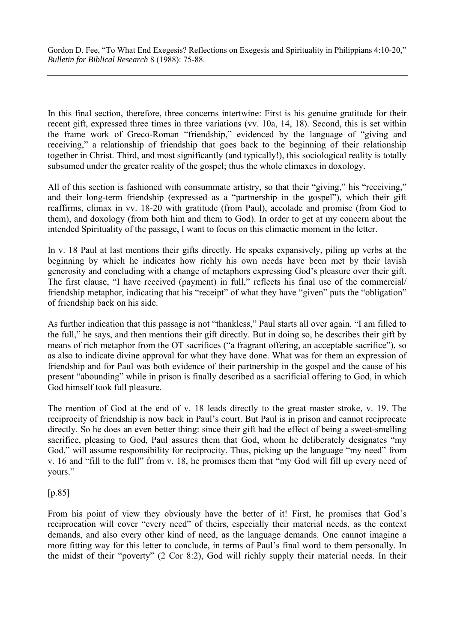In this final section, therefore, three concerns intertwine: First is his genuine gratitude for their recent gift, expressed three times in three variations (vv. 10a, 14, 18). Second, this is set within the frame work of Greco-Roman "friendship," evidenced by the language of "giving and receiving," a relationship of friendship that goes back to the beginning of their relationship together in Christ. Third, and most significantly (and typically!), this sociological reality is totally subsumed under the greater reality of the gospel; thus the whole climaxes in doxology.

All of this section is fashioned with consummate artistry, so that their "giving," his "receiving," and their long-term friendship (expressed as a "partnership in the gospel"), which their gift reaffirms, climax in vv. 18-20 with gratitude (from Paul), accolade and promise (from God to them), and doxology (from both him and them to God). In order to get at my concern about the intended Spirituality of the passage, I want to focus on this climactic moment in the letter.

In v. 18 Paul at last mentions their gifts directly. He speaks expansively, piling up verbs at the beginning by which he indicates how richly his own needs have been met by their lavish generosity and concluding with a change of metaphors expressing God's pleasure over their gift. The first clause, "I have received (payment) in full," reflects his final use of the commercial/ friendship metaphor, indicating that his "receipt" of what they have "given" puts the "obligation" of friendship back on his side.

As further indication that this passage is not "thankless," Paul starts all over again. "I am filled to the full," he says, and then mentions their gift directly. But in doing so, he describes their gift by means of rich metaphor from the OT sacrifices ("a fragrant offering, an acceptable sacrifice"), so as also to indicate divine approval for what they have done. What was for them an expression of friendship and for Paul was both evidence of their partnership in the gospel and the cause of his present "abounding" while in prison is finally described as a sacrificial offering to God, in which God himself took full pleasure.

The mention of God at the end of v. 18 leads directly to the great master stroke, v. 19. The reciprocity of friendship is now back in Paul's court. But Paul is in prison and cannot reciprocate directly. So he does an even better thing: since their gift had the effect of being a sweet-smelling sacrifice, pleasing to God, Paul assures them that God, whom he deliberately designates "my God," will assume responsibility for reciprocity. Thus, picking up the language "my need" from v. 16 and "fill to the full" from v. 18, he promises them that "my God will fill up every need of yours."

[p.85]

From his point of view they obviously have the better of it! First, he promises that God's reciprocation will cover "every need" of theirs, especially their material needs, as the context demands, and also every other kind of need, as the language demands. One cannot imagine a more fitting way for this letter to conclude, in terms of Paul's final word to them personally. In the midst of their "poverty" (2 Cor 8:2), God will richly supply their material needs. In their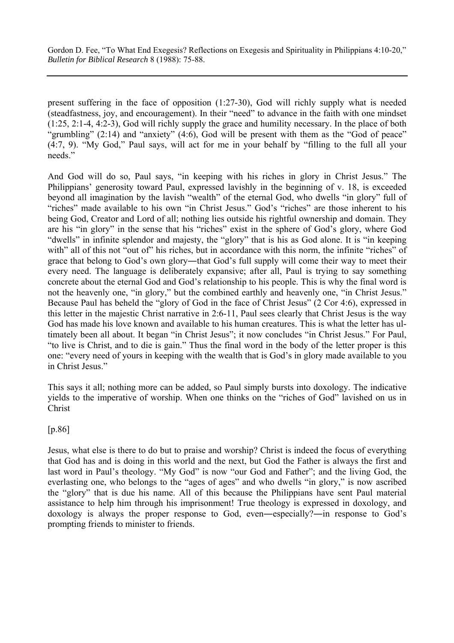present suffering in the face of opposition (1:27-30), God will richly supply what is needed (steadfastness, joy, and encouragement). In their "need" to advance in the faith with one mindset (1:25, 2:1-4, 4:2-3), God will richly supply the grace and humility necessary. In the place of both "grumbling" (2:14) and "anxiety" (4:6), God will be present with them as the "God of peace" (4:7, 9). "My God," Paul says, will act for me in your behalf by "filling to the full all your needs."

And God will do so, Paul says, "in keeping with his riches in glory in Christ Jesus." The Philippians' generosity toward Paul, expressed lavishly in the beginning of v. 18, is exceeded beyond all imagination by the lavish "wealth" of the eternal God, who dwells "in glory" full of "riches" made available to his own "in Christ Jesus." God's "riches" are those inherent to his being God, Creator and Lord of all; nothing lies outside his rightful ownership and domain. They are his "in glory" in the sense that his "riches" exist in the sphere of God's glory, where God "dwells" in infinite splendor and majesty, the "glory" that is his as God alone. It is "in keeping with" all of this not "out of" his riches, but in accordance with this norm, the infinite "riches" of grace that belong to God's own glory―that God's full supply will come their way to meet their every need. The language is deliberately expansive; after all, Paul is trying to say something concrete about the eternal God and God's relationship to his people. This is why the final word is not the heavenly one, "in glory," but the combined earthly and heavenly one, "in Christ Jesus." Because Paul has beheld the "glory of God in the face of Christ Jesus" (2 Cor 4:6), expressed in this letter in the majestic Christ narrative in 2:6-11, Paul sees clearly that Christ Jesus is the way God has made his love known and available to his human creatures. This is what the letter has ultimately been all about. It began "in Christ Jesus"; it now concludes "in Christ Jesus." For Paul, "to live is Christ, and to die is gain." Thus the final word in the body of the letter proper is this one: "every need of yours in keeping with the wealth that is God's in glory made available to you in Christ Jesus."

This says it all; nothing more can be added, so Paul simply bursts into doxology. The indicative yields to the imperative of worship. When one thinks on the "riches of God" lavished on us in Christ

[p.86]

Jesus, what else is there to do but to praise and worship? Christ is indeed the focus of everything that God has and is doing in this world and the next, but God the Father is always the first and last word in Paul's theology. "My God" is now "our God and Father"; and the living God, the everlasting one, who belongs to the "ages of ages" and who dwells "in glory," is now ascribed the "glory" that is due his name. All of this because the Philippians have sent Paul material assistance to help him through his imprisonment! True theology is expressed in doxology, and doxology is always the proper response to God, even―especially?―in response to God's prompting friends to minister to friends.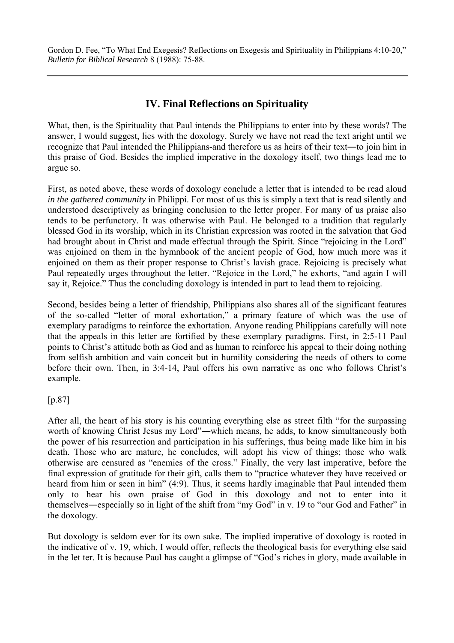## **IV. Final Reflections on Spirituality**

What, then, is the Spirituality that Paul intends the Philippians to enter into by these words? The answer, I would suggest, lies with the doxology. Surely we have not read the text aright until we recognize that Paul intended the Philippians-and therefore us as heirs of their text—to join him in this praise of God. Besides the implied imperative in the doxology itself, two things lead me to argue so.

First, as noted above, these words of doxology conclude a letter that is intended to be read aloud *in the gathered community* in Philippi. For most of us this is simply a text that is read silently and understood descriptively as bringing conclusion to the letter proper. For many of us praise also tends to be perfunctory. It was otherwise with Paul. He belonged to a tradition that regularly blessed God in its worship, which in its Christian expression was rooted in the salvation that God had brought about in Christ and made effectual through the Spirit. Since "rejoicing in the Lord" was enjoined on them in the hymnbook of the ancient people of God, how much more was it enjoined on them as their proper response to Christ's lavish grace. Rejoicing is precisely what Paul repeatedly urges throughout the letter. "Rejoice in the Lord," he exhorts, "and again I will say it, Rejoice." Thus the concluding doxology is intended in part to lead them to rejoicing.

Second, besides being a letter of friendship, Philippians also shares all of the significant features of the so-called "letter of moral exhortation," a primary feature of which was the use of exemplary paradigms to reinforce the exhortation. Anyone reading Philippians carefully will note that the appeals in this letter are fortified by these exemplary paradigms. First, in 2:5-11 Paul points to Christ's attitude both as God and as human to reinforce his appeal to their doing nothing from selfish ambition and vain conceit but in humility considering the needs of others to come before their own. Then, in 3:4-14, Paul offers his own narrative as one who follows Christ's example.

### [p.87]

After all, the heart of his story is his counting everything else as street filth "for the surpassing worth of knowing Christ Jesus my Lord"―which means, he adds, to know simultaneously both the power of his resurrection and participation in his sufferings, thus being made like him in his death. Those who are mature, he concludes, will adopt his view of things; those who walk otherwise are censured as "enemies of the cross." Finally, the very last imperative, before the final expression of gratitude for their gift, calls them to "practice whatever they have received or heard from him or seen in him" (4:9). Thus, it seems hardly imaginable that Paul intended them only to hear his own praise of God in this doxology and not to enter into it themselves―especially so in light of the shift from "my God" in v. 19 to "our God and Father" in the doxology.

But doxology is seldom ever for its own sake. The implied imperative of doxology is rooted in the indicative of v. 19, which, I would offer, reflects the theological basis for everything else said in the let ter. It is because Paul has caught a glimpse of "God's riches in glory, made available in